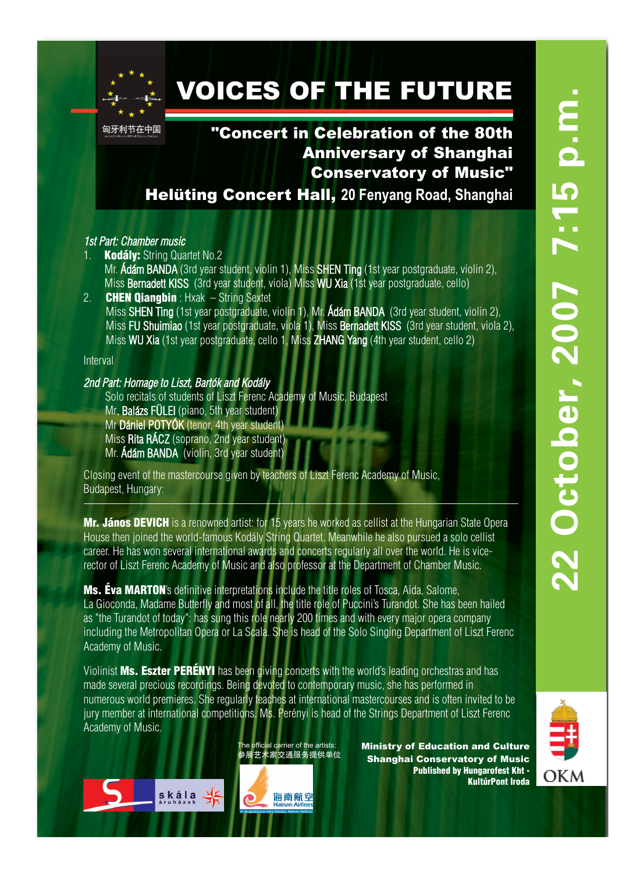

# VOICES OF THE FUTURE

匈牙利节在中国

## "Concert in Celebration of the 80th Anniversary of Shanghai Conservatory of Music"

Helüting Concert Hall, **20 Fenyang Road, Shanghai** 

### *1st Part: Chamber music*

- **Kodály: String Quartet No.2** Mr. Ádám BANDA (3rd year student, violin 1), Miss SHEN Ting (1st year postgraduate, violin 2), Miss Bernadett KISS (3rd year student, viola) Miss WU Xia (1st year postgraduate, cello) 2. **CHEN Qiangbin** : Hxak  $-$  String Sextet
- Miss SHEN Ting (1st year postgraduate, violin 1), Mr. Ádám BANDA (3rd year student, violin 2), Miss FU Shuimiao (1st year postgraduate, viola 1), Miss Bernadett KISS (3rd year student, viola 2), Miss WU Xia (1st year postgraduate, cello 1, Miss ZHANG Yang (4th year student, cello 2)

Interval

#### *2nd Part: Homage to Liszt, Bartók and Kodály*

Solo recitals of students of Liszt Ferenc Academy of Music, Budapest Mr. Balázs FÜLEI (piano, 5th year student) Mr Dániel POTYÓK (tenor, 4th year student) Miss Rita RÁCZ (soprano, 2nd year student) Mr. Ádám BANDA (violin, 3rd year student)

Closing event of the mastercourse given by teachers of Liszt Ferenc Academy of Music, Budapest, Hungary:

Mr. János DEVICH is a renowned artist: for 15 years he worked as cellist at the Hungarian State Opera House then joined the world-famous Kodály String Quartet. Meanwhile he also pursued a solo cellist career. He has won several international awards and concerts regularly all over the world. He is vicerector of Liszt Ferenc Academy of Music and also professor at the Department of Chamber Music.

Ms. Éva MARTON's definitive interpretations include the title roles of Tosca, Aida, Salome, La Gioconda, Madame Butterfly and most of all, the title role of Puccini's Turandot. She has been hailed as "the Turandot of today": has sung this role nearly 200 times and with every major opera company including the Metropolitan Opera or La Scala. She is head of the Solo Singing Department of Liszt Ferenc Academy of Music.

Violinist Ms. Eszter PERÉNYI has been giving concerts with the world's leading orchestras and has made several precious recordings. Being devoted to contemporary music, she has performed in numerous world premieres. She regularly teaches at international mastercourses and is often invited to be jury member at international competitions. Ms. Perényi is head of the Strings Department of Liszt Ferenc Academy of Music.

> The official carrier of the artists: 参展艺术家交通服务提供单位

Ministry of Education and Culture Shanghai Conservatory of Music Published by Hungarofest Kht - KultúrPont Iroda